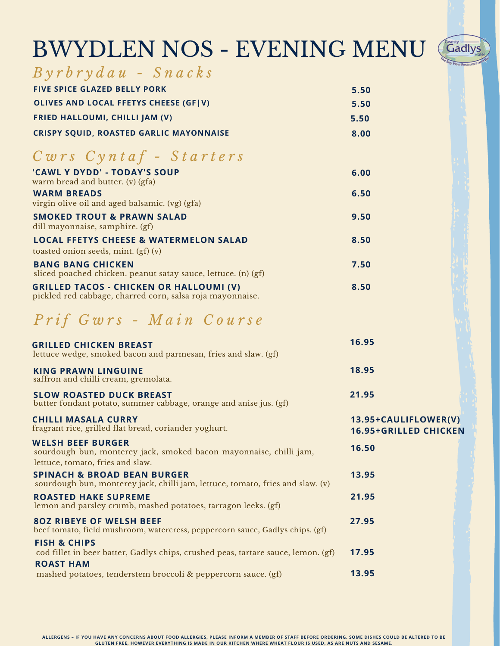# BWYDLEN NOS - EVENING MENU



 $B \vee r \times b \wedge r \vee d \text{ a } u$  -  $S \wedge a \times c \times s$ 

| <b>FIVE SPICE GLAZED BELLY PORK</b>                              | 5.50 |
|------------------------------------------------------------------|------|
| OLIVES AND LOCAL FFETYS CHEESE (GF V)                            | 5.50 |
| <b>FRIED HALLOUMI, CHILLI JAM (V)</b>                            | 5.50 |
| <b>CRISPY SQUID, ROASTED GARLIC MAYONNAISE</b>                   | 8.00 |
| $Cwrs$ $Cyntaf$ - Starters                                       |      |
| 'CAWL Y DYDD' - TODAY'S SOUP<br>warm bread and butter. (v) (gfa) | 6.00 |
| <b>WARM BREADS</b>                                               | 6.50 |

virgin olive oil and aged balsamic. (vg) (gfa) dill mayonnaise, samphire. (gf) **SMOKED TROUT & PRAWN SALAD** toasted onion seeds, mint. (gf) (v) **LOCAL FFETYS CHEESE & WATERMELON SALAD 9.50 8.50** sliced poached chicken. peanut satay sauce, lettuce. (n) (gf) **BANG BANG CHICKEN 7.50**

#### pickled red cabbage, charred corn, salsa roja mayonnaise. **GRILLED TACOS - CHICKEN OR HALLOUMI (V) 8.50**

### *P r i f G w r s - M a i n C o u r s e*

| <b>GRILLED CHICKEN BREAST</b><br>lettuce wedge, smoked bacon and parmesan, fries and slaw. (gf)                                    | 16.95                                                |  |
|------------------------------------------------------------------------------------------------------------------------------------|------------------------------------------------------|--|
| <b>KING PRAWN LINGUINE</b><br>saffron and chilli cream, gremolata.                                                                 | 18.95                                                |  |
| <b>SLOW ROASTED DUCK BREAST</b><br>butter fondant potato, summer cabbage, orange and anise jus. (gf)                               | 21.95                                                |  |
| <b>CHILLI MASALA CURRY</b><br>fragrant rice, grilled flat bread, coriander yoghurt.                                                | 13.95+CAULIFLOWER(V)<br><b>16.95+GRILLED CHICKEN</b> |  |
| <b>WELSH BEEF BURGER</b><br>sourdough bun, monterey jack, smoked bacon mayonnaise, chilli jam,<br>lettuce, tomato, fries and slaw. | 16.50                                                |  |
| <b>SPINACH &amp; BROAD BEAN BURGER</b><br>sourdough bun, monterey jack, chilli jam, lettuce, tomato, fries and slaw. (v)           | 13.95                                                |  |
| <b>ROASTED HAKE SUPREME</b><br>lemon and parsley crumb, mashed potatoes, tarragon leeks. (gf)                                      | 21.95                                                |  |
| <b>80Z RIBEYE OF WELSH BEEF</b><br>beef tomato, field mushroom, watercress, peppercorn sauce, Gadlys chips. (gf)                   | 27.95                                                |  |
| <b>FISH &amp; CHIPS</b><br>cod fillet in beer batter, Gadlys chips, crushed peas, tartare sauce, lemon. (gf)<br><b>ROAST HAM</b>   | 17.95                                                |  |
| mashed potatoes, tenderstem broccoli & peppercorn sauce. (gf)                                                                      | 13.95                                                |  |

ALLERGENS - IF YOU HAVE ANY CONCERNS ABOUT FOOD ALLERGIES, PLEASE INFORM A MEMBER OF STAFF BEFORE ORDERING. SOME DISHES COULD BE ALTERED TO BE GLUTEN FREE, HOWEVER EVERYTHING IS MADE IN OUR KITCHEN WHERE WHEAT FLOUR IS USED, AS ARE NUTS AND SESAME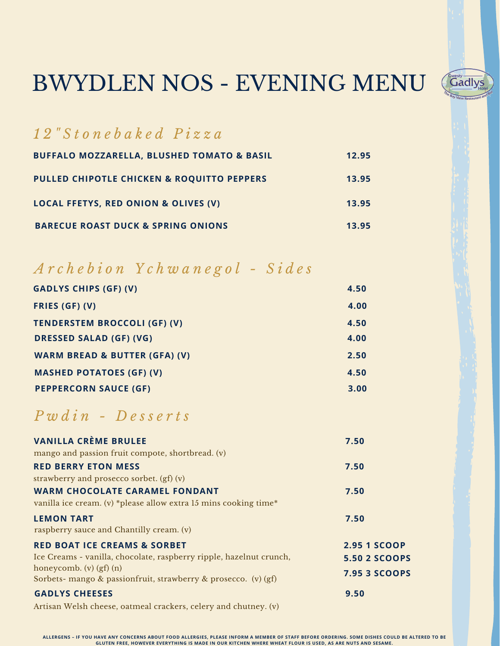

# BWYDLEN NOS - EVENING MENU

### *1 2 " S t o n e b a k e d P i z z a*

| <b>BUFFALO MOZZARELLA, BLUSHED TOMATO &amp; BASIL</b> | 12.95 |
|-------------------------------------------------------|-------|
| <b>PULLED CHIPOTLE CHICKEN &amp; ROQUITTO PEPPERS</b> | 13.95 |
| <b>LOCAL FFETYS, RED ONION &amp; OLIVES (V)</b>       | 13.95 |
| <b>BARECUE ROAST DUCK &amp; SPRING ONIONS</b>         | 13.95 |

*A r c h e b i o n Y c h w a n e g o l - S i d e s*

| <b>GADLYS CHIPS (GF) (V)</b>             | 4.50 |
|------------------------------------------|------|
| FRIES (GF) (V)                           | 4.00 |
| <b>TENDERSTEM BROCCOLI (GF) (V)</b>      | 4.50 |
| <b>DRESSED SALAD (GF) (VG)</b>           | 4.00 |
| <b>WARM BREAD &amp; BUTTER (GFA) (V)</b> | 2.50 |
| <b>MASHED POTATOES (GF) (V)</b>          | 4.50 |
| <b>PEPPERCORN SAUCE (GF)</b>             | 3.00 |

## *P w d i n - D e s s e r t s*

| <b>VANILLA CRÈME BRULEE</b>                                         | 7.50                 |
|---------------------------------------------------------------------|----------------------|
| mango and passion fruit compote, shortbread. (v)                    |                      |
| <b>RED BERRY ETON MESS</b>                                          | 7.50                 |
| strawberry and prosecco sorbet. $(gf)(v)$                           |                      |
| <b>WARM CHOCOLATE CARAMEL FONDANT</b>                               | 7.50                 |
| vanilla ice cream. (v) *please allow extra 15 mins cooking time*    |                      |
| <b>LEMON TART</b>                                                   | 7.50                 |
| raspberry sauce and Chantilly cream. (v)                            |                      |
| <b>RED BOAT ICE CREAMS &amp; SORBET</b>                             | 2.95 1 SCOOP         |
| Ice Creams - vanilla, chocolate, raspberry ripple, hazelnut crunch, | <b>5.50 2 SCOOPS</b> |
| honeycomb. $(v)$ $(gf)$ $(n)$                                       | <b>7.95 3 SCOOPS</b> |
| Sorbets- mango & passionfruit, strawberry & prosecco. (v) (gf)      |                      |
| <b>GADLYS CHEESES</b>                                               | 9.50                 |
| Artisan Welsh cheese, oatmeal crackers, celery and chutney. (v)     |                      |

ALLERGENS - IF YOU HAVE ANY CONCERNS ABOUT FOOD ALLERGIES, PLEASE INFORM A MEMBER OF STAFF BEFORE ORDERING. SOME DISHES COULD BE ALTERED TO BE<br>GLUTEN FREE, HOWEVER EVERYTHING IS MADE IN OUR KITCHEN WHERE WHEAT FLOUR IS USE **GLUTEN FREE, HOWEVER EVERYTHING IS MADE**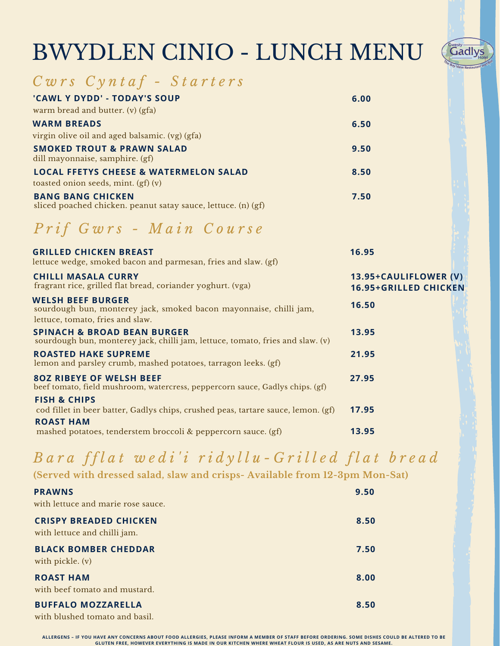# BWYDLEN CINIO - LUNCH MENU



#### *C w r s C y n t a f - S t a r t e r s*

| 'CAWL Y DYDD' - TODAY'S SOUP                                                                | 6.00 |
|---------------------------------------------------------------------------------------------|------|
| warm bread and butter. $(v)$ (gfa)                                                          |      |
| <b>WARM BREADS</b>                                                                          | 6.50 |
| virgin olive oil and aged balsamic. (vg) (gfa)                                              |      |
| <b>SMOKED TROUT &amp; PRAWN SALAD</b><br>dill mayonnaise, samphire. (gf)                    | 9.50 |
| <b>LOCAL FFETYS CHEESE &amp; WATERMELON SALAD</b><br>toasted onion seeds, mint. $(gf)(v)$   | 8.50 |
| <b>BANG BANG CHICKEN</b><br>sliced poached chicken. peanut satay sauce, lettuce. $(n)$ (gf) | 7.50 |

#### *P r i f G w r s - M a i n C o u r s e*

| <b>GRILLED CHICKEN BREAST</b><br>lettuce wedge, smoked bacon and parmesan, fries and slaw. (gf)                                  | 16.95                                                 |  |
|----------------------------------------------------------------------------------------------------------------------------------|-------------------------------------------------------|--|
| <b>CHILLI MASALA CURRY</b><br>fragrant rice, grilled flat bread, coriander yoghurt. (vga)                                        | 13.95+CAULIFLOWER (V)<br><b>16.95+GRILLED CHICKEN</b> |  |
| WELSH BEEF BURGER<br>sourdough bun, monterey jack, smoked bacon mayonnaise, chilli jam,<br>lettuce, tomato, fries and slaw.      | 16.50                                                 |  |
| <b>SPINACH &amp; BROAD BEAN BURGER</b><br>sourdough bun, monterey jack, chilli jam, lettuce, tomato, fries and slaw. (v)         | 13.95                                                 |  |
| <b>ROASTED HAKE SUPREME</b><br>lemon and parsley crumb, mashed potatoes, tarragon leeks. (gf)                                    | 21.95                                                 |  |
| <b>80Z RIBEYE OF WELSH BEEF</b><br>beef tomato, field mushroom, watercress, peppercorn sauce, Gadlys chips. (gf)                 | 27.95                                                 |  |
| <b>FISH &amp; CHIPS</b><br>cod fillet in beer batter, Gadlys chips, crushed peas, tartare sauce, lemon. (gf)<br><b>ROAST HAM</b> | 17.95                                                 |  |
| mashed potatoes, tenderstem broccoli & peppercorn sauce. (gf)                                                                    | 13.95                                                 |  |

## Bara fflat wedi'i ridyllu-Grilled flat bread

#### **(Served with dressed salad, slaw and crisps- Available from 12-3pm Mon-Sat)**

| <b>PRAWNS</b><br>with lettuce and marie rose sauce.           | 9.50 |
|---------------------------------------------------------------|------|
| <b>CRISPY BREADED CHICKEN</b><br>with lettuce and chilli jam. | 8.50 |
| <b>BLACK BOMBER CHEDDAR</b><br>with pickle. $(v)$             | 7.50 |
| <b>ROAST HAM</b><br>with beef tomato and mustard.             | 8.00 |
| <b>BUFFALO MOZZARELLA</b><br>$1.1 \t11 \t11 \t11$             | 8.50 |

with blushed tomato and basil.

ALLERGENS - IF YOU HAVE ANY CONCERNS ABOUT FOOD ALLERGIES, PLEASE INFORM A MEMBER OF STAFF BEFORE ORDERING. SOME DISHES COULD BE ALTERED TO BE GLUTEN FREE, HOWEVER EVERYTHING IS MADE IN OUR KITCHEN WHERE WHEAT FLOUR IS USED, AS ARE NUTS AND SESAME